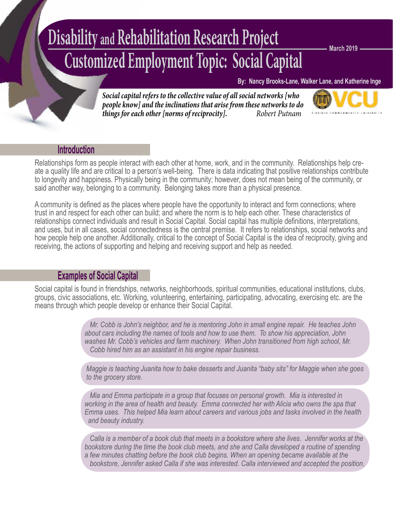# **Disability and Rehabilitation Research Project Customized Employment Topic: Social Capital**

**March 2019**

**By: Nancy Brooks-Lane, Walker Lane, and Katherine Inge**

*Social capital refers to the collective value of all social networks [who people know] and the inclinations that arise from these networks to do things for each other [norms of reciprocity]. Robert Putnam*



#### **Introduction**

Relationships form as people interact with each other at home, work, and in the community. Relationships help cre ate a quality life and are critical to a person's well-being. There is data indicating that positive relationships contribute to longevity and happiness. Physically being in the community; however, does not mean being of the community, or said another way, belonging to a community. Belonging takes more than a physical presence.

A community is defined as the places where people have the opportunity to interact and form connections; where trust in and respect for each other can build; and where the norm is to help each other. These characteristics of relationships connect individuals and result in Social Capital. Social capital has multiple definitions, interpretations, and uses, but in all cases, social connectedness is the central premise. It refers to relationships, social networks and how people help one another. Additionally, critical to the concept of Social Capital is the idea of reciprocity, giving and receiving, the actions of supporting and helping and receiving support and help as needed.

### **Examples of Social Capital**

Social capital is found in friendships, networks, neighborhoods, spiritual communities, educational institutions, clubs, groups, civic associations, etc. Working, volunteering, entertaining, participating, advocating, exercising etc. are the means through which people develop or enhance their Social Capital.

> *Mr. Cobb is John's neighbor, and he is mentoring John in small engine repair. He teaches John about cars including the names of tools and how to use them. To show his appreciation, John washes Mr. Cobb's vehicles and farm machinery. When John transitioned from high school, Mr. Cobb hired him as an assistant in his engine repair business.*

 *Maggie is teaching Juanita how to bake desserts and Juanita "baby sits" for Maggie when she goes to the grocery store.* 

 *Mia and Emma participate in a group that focuses on personal growth. Mia is interested in working in the area of health and beauty. Emma connected her with Alicia who owns the spa that Emma uses. This helped Mia learn about careers and various jobs and tasks involved in the health and beauty industry.* 

 *Calla is a member of a book club that meets in a bookstore where she lives. Jennifer works at the bookstore during the time the book club meets, and she and Calla developed a routine of spending a few minutes chatting before the book club begins. When an opening became available at the bookstore, Jennifer asked Calla if she was interested. Calla interviewed and accepted the position.*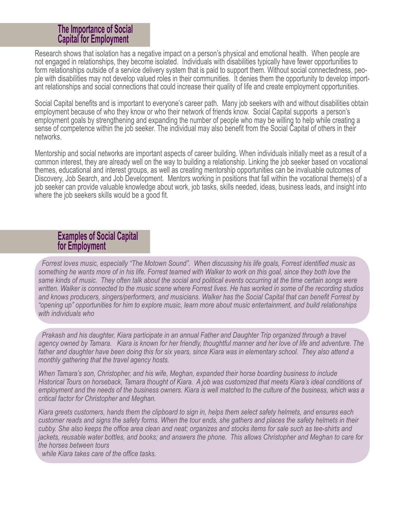#### **The Importance of Social Capital for Employment**

Research shows that isolation has a negative impact on a person's physical and emotional health. When people are not engaged in relationships, they become isolated. Individuals with disabilities typically have fewer opportunities to form relationships outside of a service delivery system that is paid to support them. Without social connectedness, peo ple with disabilities may not develop valued roles in their communities. It denies them the opportunity to develop import ant relationships and social connections that could increase their quality of life and create employment opportunities.

Social Capital benefits and is important to everyone's career path. Many job seekers with and without disabilities obtain employment because of who they know or who their network of friends know. Social Capital supports a person's employment goals by strengthening and expanding the number of people who may be willing to help while creating a sense of competence within the job seeker. The individual may also benefit from the Social Capital of others in their networks.

Mentorship and social networks are important aspects of career building. When individuals initially meet as a result of a common interest, they are already well on the way to building a relationship. Linking the job seeker based on vocational themes, educational and interest groups, as well as creating mentorship opportunities can be invaluable outcomes of Discovery, Job Search, and Job Development. Mentors working in positions that fall within the vocational theme(s) of a job seeker can provide valuable knowledge about work, job tasks, skills needed, ideas, business leads, and insight into where the job seekers skills would be a good fit.

### **Examples of Social Capital for Employment**

 *Forrest loves music, especially "The Motown Sound". When discussing his life goals, Forrest identified music as something he wants more of in his life. Forrest teamed with Walker to work on this goal, since they both love the same kinds of music. They often talk about the social and political events occurring at the time certain songs were written. Walker is connected to the music scene where Forrest lives. He has worked in some of the recording studios and knows producers, singers/performers, and musicians. Walker has the Social Capital that can benefit Forrest by "opening up" opportunities for him to explore music, learn more about music entertainment, and build relationships with individuals who* 

 *Prakash and his daughter, Kiara participate in an annual Father and Daughter Trip organized through a travel agency owned by Tamara. Kiara is known for her friendly, thoughtful manner and her love of life and adventure. The*  father and daughter have been doing this for six years, since Kiara was in elementary school. They also attend a *monthly gathering that the travel agency hosts.* 

*When Tamara's son, Christopher, and his wife, Meghan, expanded their horse boarding business to include Historical Tours on horseback, Tamara thought of Kiara. A job was customized that meets Kiara's ideal conditions of employment and the needs of the business owners. Kiara is well matched to the culture of the business, which was a critical factor for Christopher and Meghan.* 

*Kiara greets customers, hands them the clipboard to sign in, helps them select safety helmets, and ensures each customer reads and signs the safety forms. When the tour ends, she gathers and places the safety helmets in their cubby. She also keeps the office area clean and neat; organizes and stocks items for sale such as tee-shirts and jackets, reusable water bottles, and books; and answers the phone. This allows Christopher and Meghan to care for the horses between tours* 

 *while Kiara takes care of the office tasks.*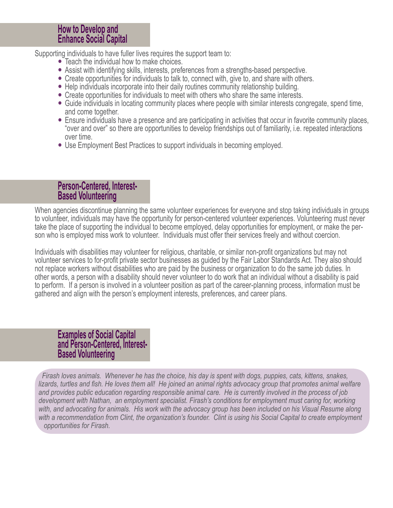Supporting individuals to have fuller lives requires the support team to:

- Teach the individual how to make choices.
- Assist with identifying skills, interests, preferences from a strengths-based perspective.
- Create opportunities for individuals to talk to, connect with, give to, and share with others.
- Help individuals incorporate into their daily routines community relationship building.
- Create opportunities for individuals to meet with others who share the same interests.
- Guide individuals in locating community places where people with similar interests congregate, spend time, and come together.
- Ensure individuals have a presence and are participating in activities that occur in favorite community places, "over and over" so there are opportunities to develop friendships out of familiarity, i.e. repeated interactions over time.
- Use Employment Best Practices to support individuals in becoming employed.

# **Person-Centered, Interest-Based Volunteering**

When agencies discontinue planning the same volunteer experiences for everyone and stop taking individuals in groups to volunteer, individuals may have the opportunity for person-centered volunteer experiences. Volunteering must never take the place of supporting the individual to become employed, delay opportunities for employment, or make the per son who is employed miss work to volunteer. Individuals must offer their services freely and without coercion.

Individuals with disabilities may volunteer for religious, charitable, or similar non-profit organizations but may not volunteer services to for-profit private sector businesses as guided by the Fair Labor Standards Act. They also should not replace workers without disabilities who are paid by the business or organization to do the same job duties. In other words, a person with a disability should never volunteer to do work that an individual without a disability is paid to perform. If a person is involved in a volunteer position as part of the career-planning process, information must be gathered and align with the person's employment interests, preferences, and career plans.

#### **Examples of Social Capital and Person-Centered, Interest-Based Volunteering**

 *Firash loves animals. Whenever he has the choice, his day is spent with dogs, puppies, cats, kittens, snakes, lizards, turtles and fish. He loves them all! He joined an animal rights advocacy group that promotes animal welfare and provides public education regarding responsible animal care. He is currently involved in the process of job development with Nathan, an employment specialist. Firash's conditions for employment must caring for, working*  with, and advocating for animals. His work with the advocacy group has been included on his Visual Resume along *with a recommendation from Clint, the organization's founder. Clint is using his Social Capital to create employment opportunities for Firash.*